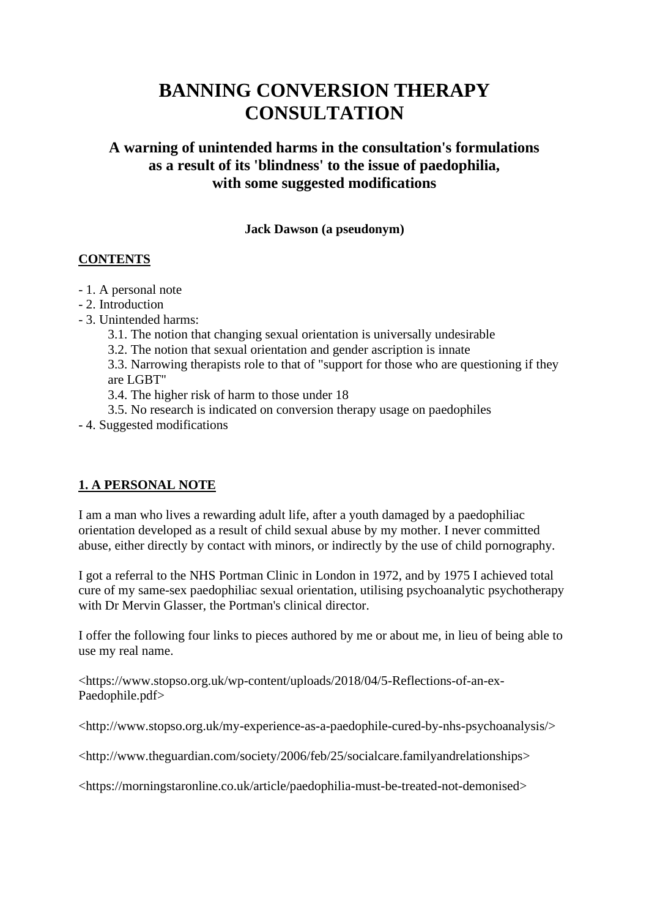# **BANNING CONVERSION THERAPY CONSULTATION**

## **A warning of unintended harms in the consultation's formulations as a result of its 'blindness' to the issue of paedophilia, with some suggested modifications**

**Jack Dawson (a pseudonym)**

#### **CONTENTS**

- 1. A personal note
- 2. Introduction
- 3. Unintended harms:
	- 3.1. The notion that changing sexual orientation is universally undesirable
	- 3.2. The notion that sexual orientation and gender ascription is innate
	- 3.3. Narrowing therapists role to that of "support for those who are questioning if they are LGBT"
	- 3.4. The higher risk of harm to those under 18
	- 3.5. No research is indicated on conversion therapy usage on paedophiles
- 4. Suggested modifications

## **1. A PERSONAL NOTE**

I am a man who lives a rewarding adult life, after a youth damaged by a paedophiliac orientation developed as a result of child sexual abuse by my mother. I never committed abuse, either directly by contact with minors, or indirectly by the use of child pornography.

I got a referral to the NHS Portman Clinic in London in 1972, and by 1975 I achieved total cure of my same-sex paedophiliac sexual orientation, utilising psychoanalytic psychotherapy with Dr Mervin Glasser, the Portman's clinical director.

I offer the following four links to pieces authored by me or about me, in lieu of being able to use my real name.

<https://www.stopso.org.uk/wp-content/uploads/2018/04/5-Reflections-of-an-ex-Paedophile.pdf>

<http://www.stopso.org.uk/my-experience-as-a-paedophile-cured-by-nhs-psychoanalysis/>

<http://www.theguardian.com/society/2006/feb/25/socialcare.familyandrelationships>

<https://morningstaronline.co.uk/article/paedophilia-must-be-treated-not-demonised>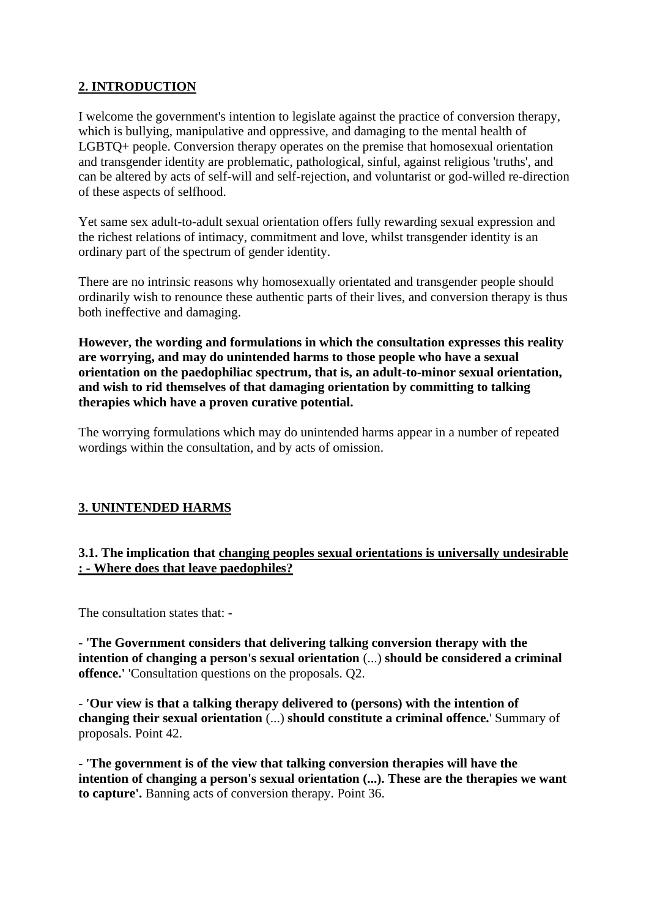## **2. INTRODUCTION**

I welcome the government's intention to legislate against the practice of conversion therapy, which is bullying, manipulative and oppressive, and damaging to the mental health of LGBTQ+ people. Conversion therapy operates on the premise that homosexual orientation and transgender identity are problematic, pathological, sinful, against religious 'truths', and can be altered by acts of self-will and self-rejection, and voluntarist or god-willed re-direction of these aspects of selfhood.

Yet same sex adult-to-adult sexual orientation offers fully rewarding sexual expression and the richest relations of intimacy, commitment and love, whilst transgender identity is an ordinary part of the spectrum of gender identity.

There are no intrinsic reasons why homosexually orientated and transgender people should ordinarily wish to renounce these authentic parts of their lives, and conversion therapy is thus both ineffective and damaging.

**However, the wording and formulations in which the consultation expresses this reality are worrying, and may do unintended harms to those people who have a sexual orientation on the paedophiliac spectrum, that is, an adult-to-minor sexual orientation, and wish to rid themselves of that damaging orientation by committing to talking therapies which have a proven curative potential.**

The worrying formulations which may do unintended harms appear in a number of repeated wordings within the consultation, and by acts of omission.

## **3. UNINTENDED HARMS**

#### **3.1. The implication that changing peoples sexual orientations is universally undesirable : - Where does that leave paedophiles?**

The consultation states that: -

- **'The Government considers that delivering talking conversion therapy with the intention of changing a person's sexual orientation** (...) **should be considered a criminal offence.'** 'Consultation questions on the proposals. Q2.

- **'Our view is that a talking therapy delivered to (persons) with the intention of changing their sexual orientation** (...) **should constitute a criminal offence.**' Summary of proposals. Point 42.

**- 'The government is of the view that talking conversion therapies will have the intention of changing a person's sexual orientation (...). These are the therapies we want to capture'.** Banning acts of conversion therapy. Point 36.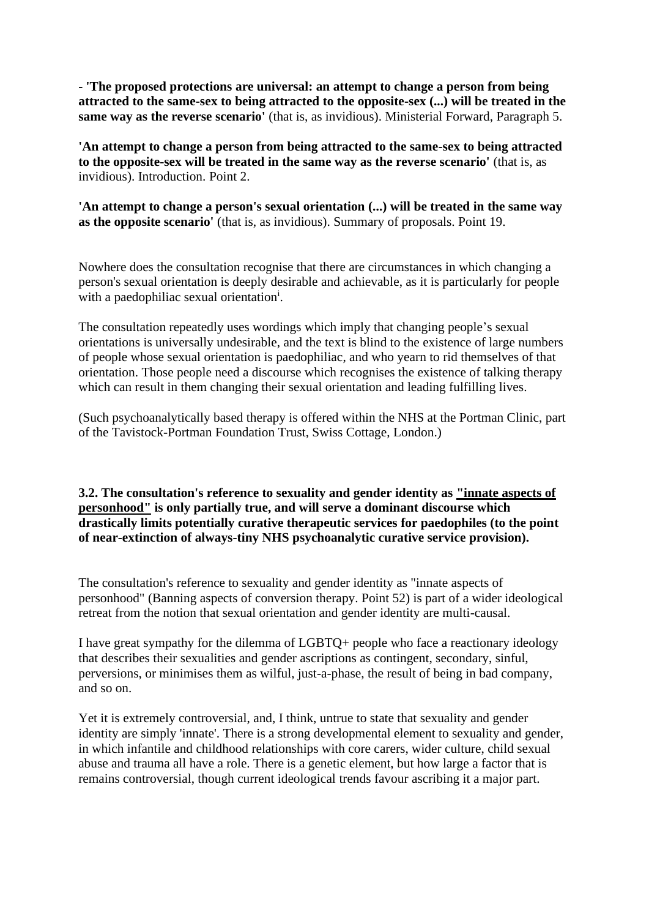**- 'The proposed protections are universal: an attempt to change a person from being attracted to the same-sex to being attracted to the opposite-sex (...) will be treated in the same way as the reverse scenario'** (that is, as invidious). Ministerial Forward, Paragraph 5.

**'An attempt to change a person from being attracted to the same-sex to being attracted to the opposite-sex will be treated in the same way as the reverse scenario'** (that is, as invidious). Introduction. Point 2.

**'An attempt to change a person's sexual orientation (...) will be treated in the same way as the opposite scenario'** (that is, as invidious). Summary of proposals. Point 19.

Nowhere does the consultation recognise that there are circumstances in which changing a person's sexual orientation is deeply desirable and achievable, as it is particularly for people with a paedophiliac sexual orientation<sup>i</sup>.

The consultation repeatedly uses wordings which imply that changing people's sexual orientations is universally undesirable, and the text is blind to the existence of large numbers of people whose sexual orientation is paedophiliac, and who yearn to rid themselves of that orientation. Those people need a discourse which recognises the existence of talking therapy which can result in them changing their sexual orientation and leading fulfilling lives.

(Such psychoanalytically based therapy is offered within the NHS at the Portman Clinic, part of the Tavistock-Portman Foundation Trust, Swiss Cottage, London.)

**3.2. The consultation's reference to sexuality and gender identity as "innate aspects of personhood" is only partially true, and will serve a dominant discourse which drastically limits potentially curative therapeutic services for paedophiles (to the point of near-extinction of always-tiny NHS psychoanalytic curative service provision).** 

The consultation's reference to sexuality and gender identity as "innate aspects of personhood" (Banning aspects of conversion therapy. Point 52) is part of a wider ideological retreat from the notion that sexual orientation and gender identity are multi-causal.

I have great sympathy for the dilemma of LGBTQ+ people who face a reactionary ideology that describes their sexualities and gender ascriptions as contingent, secondary, sinful, perversions, or minimises them as wilful, just-a-phase, the result of being in bad company, and so on.

Yet it is extremely controversial, and, I think, untrue to state that sexuality and gender identity are simply 'innate'. There is a strong developmental element to sexuality and gender, in which infantile and childhood relationships with core carers, wider culture, child sexual abuse and trauma all have a role. There is a genetic element, but how large a factor that is remains controversial, though current ideological trends favour ascribing it a major part.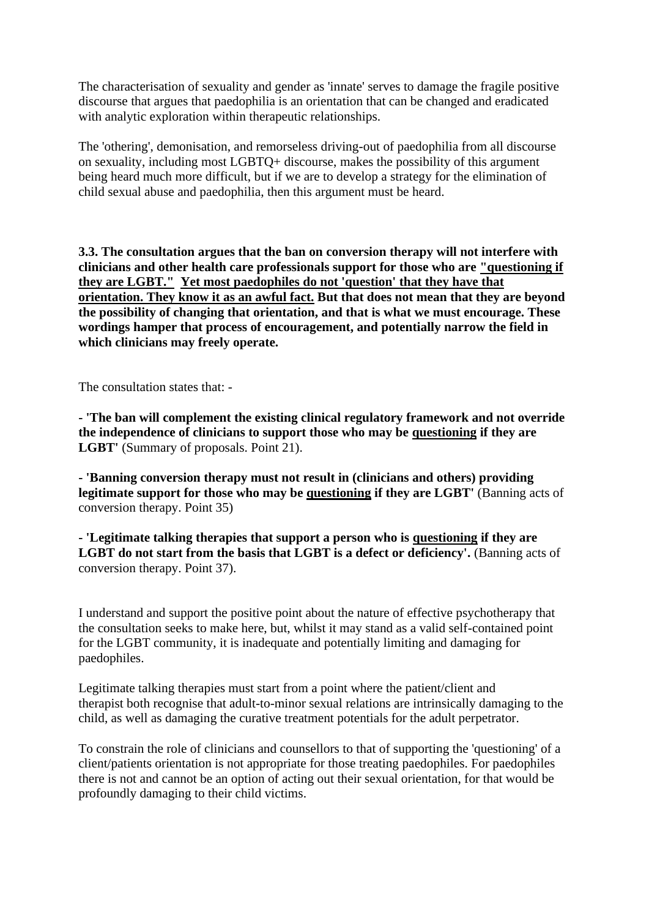The characterisation of sexuality and gender as 'innate' serves to damage the fragile positive discourse that argues that paedophilia is an orientation that can be changed and eradicated with analytic exploration within therapeutic relationships.

The 'othering', demonisation, and remorseless driving-out of paedophilia from all discourse on sexuality, including most LGBTQ+ discourse, makes the possibility of this argument being heard much more difficult, but if we are to develop a strategy for the elimination of child sexual abuse and paedophilia, then this argument must be heard.

**3.3. The consultation argues that the ban on conversion therapy will not interfere with clinicians and other health care professionals support for those who are "questioning if they are LGBT." Yet most paedophiles do not 'question' that they have that orientation. They know it as an awful fact. But that does not mean that they are beyond the possibility of changing that orientation, and that is what we must encourage. These wordings hamper that process of encouragement, and potentially narrow the field in which clinicians may freely operate.**

The consultation states that: -

**- 'The ban will complement the existing clinical regulatory framework and not override the independence of clinicians to support those who may be questioning if they are LGBT'** (Summary of proposals. Point 21).

**- 'Banning conversion therapy must not result in (clinicians and others) providing legitimate support for those who may be questioning if they are LGBT'** (Banning acts of conversion therapy. Point 35)

**- 'Legitimate talking therapies that support a person who is questioning if they are**  LGBT do not start from the basis that LGBT is a defect or deficiency'. (Banning acts of conversion therapy. Point 37).

I understand and support the positive point about the nature of effective psychotherapy that the consultation seeks to make here, but, whilst it may stand as a valid self-contained point for the LGBT community, it is inadequate and potentially limiting and damaging for paedophiles.

Legitimate talking therapies must start from a point where the patient/client and therapist both recognise that adult-to-minor sexual relations are intrinsically damaging to the child, as well as damaging the curative treatment potentials for the adult perpetrator.

To constrain the role of clinicians and counsellors to that of supporting the 'questioning' of a client/patients orientation is not appropriate for those treating paedophiles. For paedophiles there is not and cannot be an option of acting out their sexual orientation, for that would be profoundly damaging to their child victims.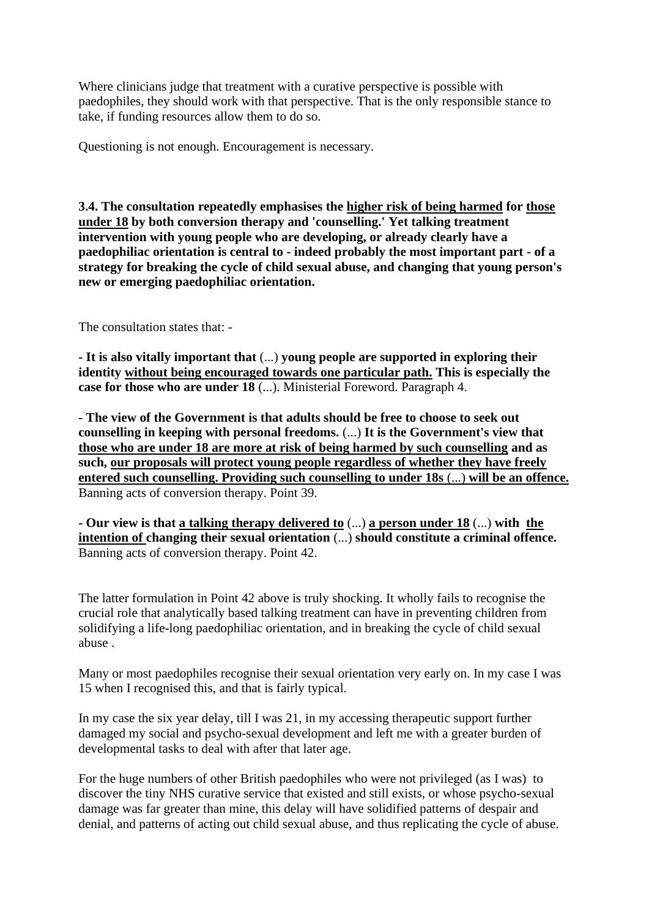Where clinicians judge that treatment with a curative perspective is possible with paedophiles, they should work with that perspective. That is the only responsible stance to take, if funding resources allow them to do so.

Questioning is not enough. Encouragement is necessary.

**3.4. The consultation repeatedly emphasises the higher risk of being harmed for those under 18 by both conversion therapy and 'counselling.' Yet talking treatment intervention with young people who are developing, or already clearly have a paedophiliac orientation is central to - indeed probably the most important part - of a strategy for breaking the cycle of child sexual abuse, and changing that young person's new or emerging paedophiliac orientation.** 

The consultation states that: -

**- It is also vitally important that** (...) **young people are supported in exploring their identity without being encouraged towards one particular path. This is especially the case for those who are under 18** (...). Ministerial Foreword. Paragraph 4.

**- The view of the Government is that adults should be free to choose to seek out counselling in keeping with personal freedoms.** (...) **It is the Government's view that those who are under 18 are more at risk of being harmed by such counselling and as such, our proposals will protect young people regardless of whether they have freely entered such counselling. Providing such counselling to under 18s** (...) **will be an offence.** Banning acts of conversion therapy. Point 39.

**- Our view is that a talking therapy delivered to** (...) **a person under 18** (...) **with the intention of changing their sexual orientation** (...) **should constitute a criminal offence.** Banning acts of conversion therapy. Point 42.

The latter formulation in Point 42 above is truly shocking. It wholly fails to recognise the crucial role that analytically based talking treatment can have in preventing children from solidifying a life-long paedophiliac orientation, and in breaking the cycle of child sexual abuse .

Many or most paedophiles recognise their sexual orientation very early on. In my case I was 15 when I recognised this, and that is fairly typical.

In my case the six year delay, till I was 21, in my accessing therapeutic support further damaged my social and psycho-sexual development and left me with a greater burden of developmental tasks to deal with after that later age.

For the huge numbers of other British paedophiles who were not privileged (as I was) to discover the tiny NHS curative service that existed and still exists, or whose psycho-sexual damage was far greater than mine, this delay will have solidified patterns of despair and denial, and patterns of acting out child sexual abuse, and thus replicating the cycle of abuse.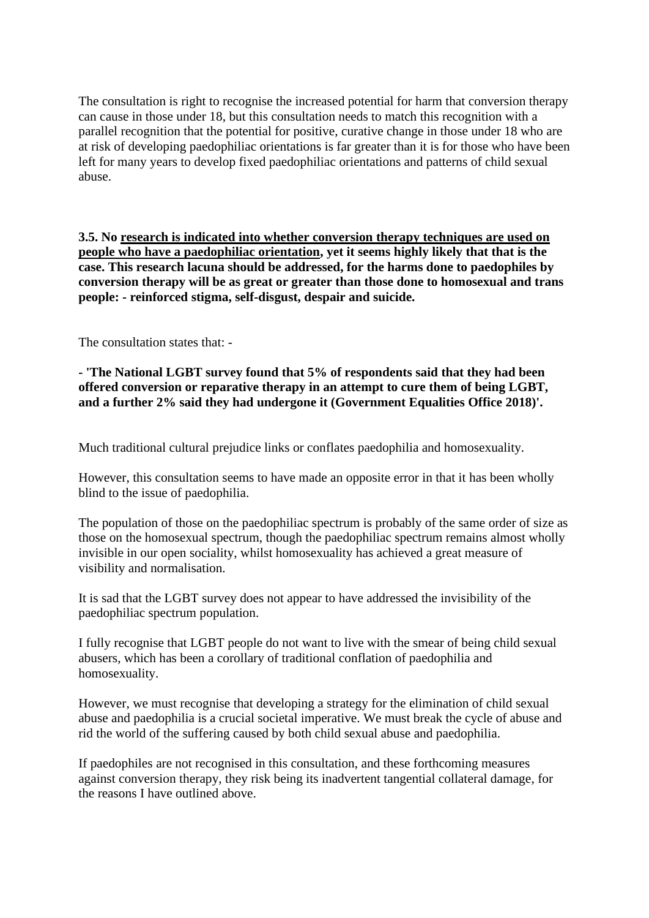The consultation is right to recognise the increased potential for harm that conversion therapy can cause in those under 18, but this consultation needs to match this recognition with a parallel recognition that the potential for positive, curative change in those under 18 who are at risk of developing paedophiliac orientations is far greater than it is for those who have been left for many years to develop fixed paedophiliac orientations and patterns of child sexual abuse.

**3.5. No research is indicated into whether conversion therapy techniques are used on people who have a paedophiliac orientation, yet it seems highly likely that that is the case. This research lacuna should be addressed, for the harms done to paedophiles by conversion therapy will be as great or greater than those done to homosexual and trans people: - reinforced stigma, self-disgust, despair and suicide.**

The consultation states that: -

**- 'The National LGBT survey found that 5% of respondents said that they had been offered conversion or reparative therapy in an attempt to cure them of being LGBT, and a further 2% said they had undergone it (Government Equalities Office 2018)'.**

Much traditional cultural prejudice links or conflates paedophilia and homosexuality.

However, this consultation seems to have made an opposite error in that it has been wholly blind to the issue of paedophilia.

The population of those on the paedophiliac spectrum is probably of the same order of size as those on the homosexual spectrum, though the paedophiliac spectrum remains almost wholly invisible in our open sociality, whilst homosexuality has achieved a great measure of visibility and normalisation.

It is sad that the LGBT survey does not appear to have addressed the invisibility of the paedophiliac spectrum population.

I fully recognise that LGBT people do not want to live with the smear of being child sexual abusers, which has been a corollary of traditional conflation of paedophilia and homosexuality.

However, we must recognise that developing a strategy for the elimination of child sexual abuse and paedophilia is a crucial societal imperative. We must break the cycle of abuse and rid the world of the suffering caused by both child sexual abuse and paedophilia.

If paedophiles are not recognised in this consultation, and these forthcoming measures against conversion therapy, they risk being its inadvertent tangential collateral damage, for the reasons I have outlined above.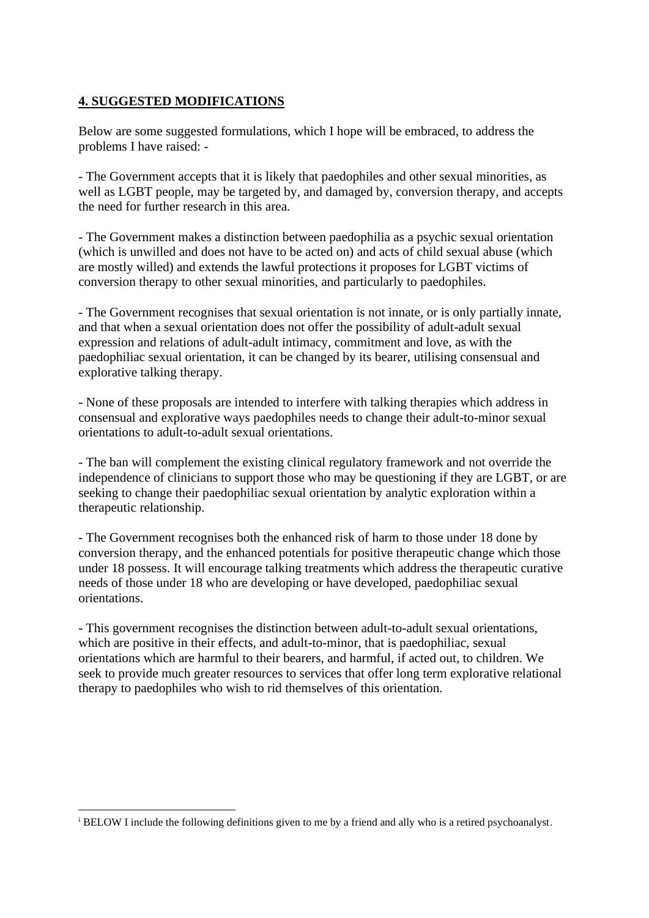#### **4. SUGGESTED MODIFICATIONS**

Below are some suggested formulations, which I hope will be embraced, to address the problems I have raised: -

- The Government accepts that it is likely that paedophiles and other sexual minorities, as well as LGBT people, may be targeted by, and damaged by, conversion therapy, and accepts the need for further research in this area.

- The Government makes a distinction between paedophilia as a psychic sexual orientation (which is unwilled and does not have to be acted on) and acts of child sexual abuse (which are mostly willed) and extends the lawful protections it proposes for LGBT victims of conversion therapy to other sexual minorities, and particularly to paedophiles.

- The Government recognises that sexual orientation is not innate, or is only partially innate, and that when a sexual orientation does not offer the possibility of adult-adult sexual expression and relations of adult-adult intimacy, commitment and love, as with the paedophiliac sexual orientation, it can be changed by its bearer, utilising consensual and explorative talking therapy.

- None of these proposals are intended to interfere with talking therapies which address in consensual and explorative ways paedophiles needs to change their adult-to-minor sexual orientations to adult-to-adult sexual orientations.

- The ban will complement the existing clinical regulatory framework and not override the independence of clinicians to support those who may be questioning if they are LGBT, or are seeking to change their paedophiliac sexual orientation by analytic exploration within a therapeutic relationship.

- The Government recognises both the enhanced risk of harm to those under 18 done by conversion therapy, and the enhanced potentials for positive therapeutic change which those under 18 possess. It will encourage talking treatments which address the therapeutic curative needs of those under 18 who are developing or have developed, paedophiliac sexual orientations.

- This government recognises the distinction between adult-to-adult sexual orientations, which are positive in their effects, and adult-to-minor, that is paedophiliac, sexual orientations which are harmful to their bearers, and harmful, if acted out, to children. We seek to provide much greater resources to services that offer long term explorative relational therapy to paedophiles who wish to rid themselves of this orientation.

<sup>i</sup> BELOW I include the following definitions given to me by a friend and ally who is a retired psychoanalyst.